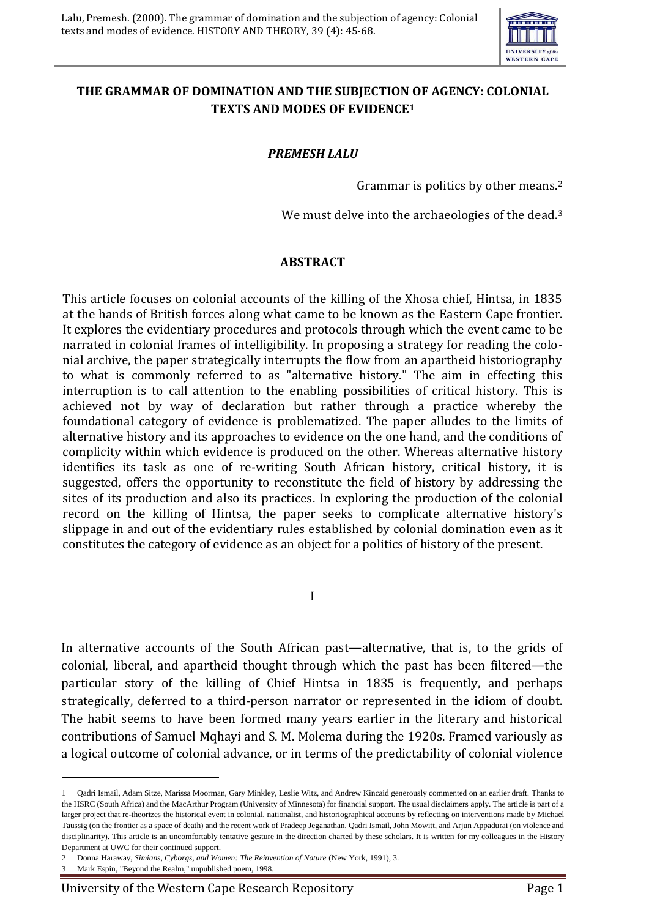

## **THE GRAMMAR OF DOMINATION AND THE SUBJECTION OF AGENCY: COLONIAL TEXTS AND MODES OF EVIDENCE<sup>1</sup>**

## *PREMESH LALU*

Grammar is politics by other means.<sup>2</sup>

We must delve into the archaeologies of the dead.<sup>3</sup>

## **ABSTRACT**

This article focuses on colonial accounts of the killing of the Xhosa chief, Hintsa, in 1835 at the hands of British forces along what came to be known as the Eastern Cape frontier. It explores the evidentiary procedures and protocols through which the event came to be narrated in colonial frames of intelligibility. In proposing a strategy for reading the colonial archive, the paper strategically interrupts the flow from an apartheid historiography to what is commonly referred to as "alternative history." The aim in effecting this interruption is to call attention to the enabling possibilities of critical history. This is achieved not by way of declaration but rather through a practice whereby the foundational category of evidence is problematized. The paper alludes to the limits of alternative history and its approaches to evidence on the one hand, and the conditions of complicity within which evidence is produced on the other. Whereas alternative history identifies its task as one of re-writing South African history, critical history, it is suggested, offers the opportunity to reconstitute the field of history by addressing the sites of its production and also its practices. In exploring the production of the colonial record on the killing of Hintsa, the paper seeks to complicate alternative history's slippage in and out of the evidentiary rules established by colonial domination even as it constitutes the category of evidence as an object for a politics of history of the present.

I

In alternative accounts of the South African past—alternative, that is, to the grids of colonial, liberal, and apartheid thought through which the past has been filtered—the particular story of the killing of Chief Hintsa in 1835 is frequently, and perhaps strategically, deferred to a third-person narrator or represented in the idiom of doubt. The habit seems to have been formed many years earlier in the literary and historical contributions of Samuel Mqhayi and S. M. Molema during the 1920s. Framed variously as a logical outcome of colonial advance, or in terms of the predictability of colonial violence

<u>.</u>

<sup>1</sup> Qadri Ismail, Adam Sitze, Marissa Moorman, Gary Minkley, Leslie Witz, and Andrew Kincaid generously commented on an earlier draft. Thanks to the HSRC (South Africa) and the MacArthur Program (University of Minnesota) for financial support. The usual disclaimers apply. The article is part of a larger project that re-theorizes the historical event in colonial, nationalist, and historiographical accounts by reflecting on interventions made by Michael Taussig (on the frontier as a space of death) and the recent work of Pradeep Jeganathan, Qadri Ismail, John Mowitt, and Arjun Appadurai (on violence and disciplinarity). This article is an uncomfortably tentative gesture in the direction charted by these scholars. It is written for my colleagues in the History Department at UWC for their continued support.

<sup>2</sup> Donna Haraway, *Simians, Cyborgs, and Women: The Reinvention of Nature* (New York, 1991), 3.

<sup>3</sup> Mark Espin, "Beyond the Realm," unpublished poem, 1998.